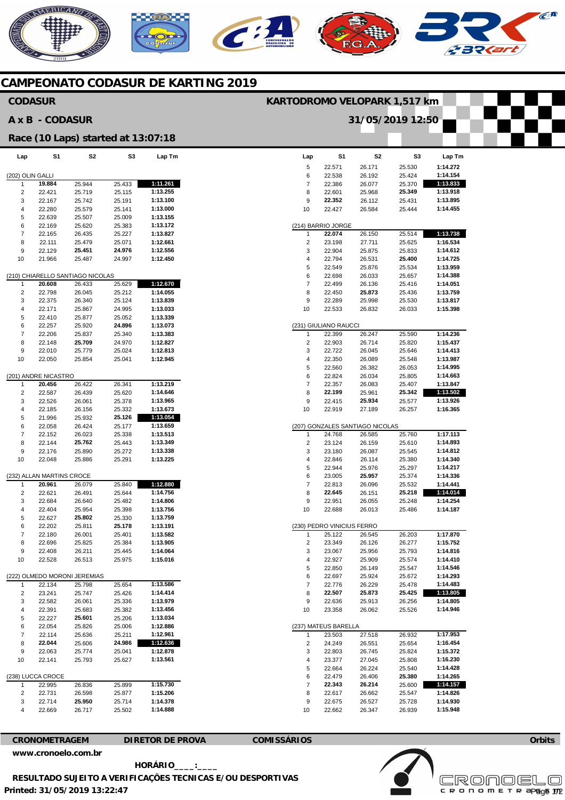## NERICANO C 39

### **CAMPEONATO CODASUR DE KARTING 2019**

| <b>CODASUR</b>                     |                           |                                  |                  |                      | KARTODROMO VELOPARK 1,517 km                                                                     |
|------------------------------------|---------------------------|----------------------------------|------------------|----------------------|--------------------------------------------------------------------------------------------------|
| A x B - CODASUR                    |                           |                                  |                  |                      | 31/05/2019 12:50                                                                                 |
| Race (10 Laps) started at 13:07:18 |                           |                                  |                  |                      |                                                                                                  |
| Lap                                | S <sub>1</sub>            | S2                               | S3               | Lap Tm               | S <sub>2</sub><br>S1<br>S3<br>Lap Tm<br>Lap                                                      |
|                                    |                           |                                  |                  |                      | 1:14.272<br>$\sqrt{5}$<br>22.571<br>25.530<br>26.171                                             |
| (202) OLIN GALLI                   |                           |                                  |                  |                      | 1:14.154<br>6<br>22.538<br>25.424<br>26.192                                                      |
| $\overline{1}$                     | 19.884                    | 25.944                           | 25.433           | 1:11.261             | 1:13.833<br>$\overline{7}$<br>22.386<br>26.077<br>25.370                                         |
| $\overline{2}$                     | 22.421                    | 25.719                           | 25.115           | 1:13.255             | 1:13.918<br>8<br>25.349<br>22.601<br>25.968                                                      |
| 3<br>$\overline{4}$                | 22.167                    | 25.742                           | 25.191           | 1:13.100             | 9<br>22.352<br>26.112<br>25.431<br>1:13.895                                                      |
| $\overline{5}$                     | 22.280<br>22.639          | 25.579<br>25.507                 | 25.141<br>25.009 | 1:13.000<br>1:13.155 | 1:14.455<br>10<br>22.427<br>26.584<br>25.444                                                     |
| 6                                  | 22.169                    | 25.620                           | 25.383           | 1:13.172             | (214) BARRIO JORGE                                                                               |
| $\overline{7}$                     | 22.165                    | 26.435                           | 25.227           | 1:13.827             | 22.074<br>1:13.738<br>26.150<br>25.514<br>$\overline{1}$                                         |
| 8                                  | 22.111                    | 25.479                           | 25.071           | 1:12.661             | $\overline{2}$<br>1:16.534<br>23.198<br>27.711<br>25.625                                         |
| $\boldsymbol{9}$                   | 22.129                    | 25.451                           | 24.976           | 1:12.556             | 3<br>22.904<br>25.875<br>25.833<br>1:14.612                                                      |
| 10                                 | 21.966                    | 25.487                           | 24.997           | 1:12.450             | $\overline{4}$<br>22.794<br>26.531<br>25.400<br>1:14.725                                         |
|                                    |                           |                                  |                  |                      | 5<br>1:13.959<br>22.549<br>25.876<br>25.534                                                      |
|                                    |                           | (210) CHIARELLO SANTIAGO NICOLAS |                  |                      | 6<br>1:14.388<br>22.698<br>26.033<br>25.657                                                      |
| $\mathbf{1}$                       | 20.608                    | 26.433                           | 25.629           | 1:12.670             | $\overline{7}$<br>1:14.051<br>22.499<br>26.136<br>25.416                                         |
| $\overline{2}$<br>3                | 22.798<br>22.375          | 26.045<br>26.340                 | 25.212<br>25.124 | 1:14.055<br>1:13.839 | 8<br>1:13.759<br>22.450<br>25.873<br>25.436<br>9<br>22.289<br>25.998<br>25.530<br>1:13.817       |
| $\overline{4}$                     | 22.171                    | 25.867                           | 24.995           | 1:13.033             | 1:15.398<br>10<br>22.533<br>26.832<br>26.033                                                     |
| 5                                  | 22.410                    | 25.877                           | 25.052           | 1:13.339             |                                                                                                  |
| 6                                  | 22.257                    | 25.920                           | 24.896           | 1:13.073             | (231) GIULIANO RAUCCI                                                                            |
| $\overline{7}$                     | 22.206                    | 25.837                           | 25.340           | 1:13.383             | 1:14.236<br>22.399<br>26.247<br>25.590<br>$\mathbf{1}$                                           |
| 8                                  | 22.148                    | 25.709                           | 24.970           | 1:12.827             | $\overline{2}$<br>1:15.437<br>22.903<br>26.714<br>25.820                                         |
| 9                                  | 22.010                    | 25.779                           | 25.024           | 1:12.813             | 3<br>22.722<br>26.045<br>25.646<br>1:14.413                                                      |
| 10                                 | 22.050                    | 25.854                           | 25.041           | 1:12.945             | 1:13.987<br>$\overline{4}$<br>22.350<br>26.089<br>25.548                                         |
|                                    |                           |                                  |                  |                      | 5<br>1:14.995<br>22.560<br>26.382<br>26.053                                                      |
|                                    | (201) ANDRE NICASTRO      |                                  |                  |                      | 6<br>1:14.663<br>22.824<br>26.034<br>25.805<br>$\overline{7}$                                    |
| $\overline{2}$                     | 20.456<br>22.587          | 26.422<br>26.439                 | 26.341<br>25.620 | 1:13.219<br>1:14.646 | 22.357<br>26.083<br>25.407<br>1:13.847<br>8<br>1:13.502<br>22.199<br>25.961<br>25.342            |
| 3                                  | 22.526                    | 26.061                           | 25.378           | 1:13.965             | 1:13.926<br>9<br>25.934<br>22.415<br>25.577                                                      |
| 4                                  | 22.185                    | 26.156                           | 25.332           | 1:13.673             | 1:16.365<br>10<br>22.919<br>27.189<br>26.257                                                     |
| 5                                  | 21.996                    | 25.932                           | 25.126           | 1:13.054             |                                                                                                  |
| 6                                  | 22.058                    | 26.424                           | 25.177           | 1:13.659             | (207) GONZALES SANTIAGO NICOLAS                                                                  |
| $\overline{7}$                     | 22.152                    | 26.023                           | 25.338           | 1:13.513             | 1:17.113<br>24.768<br>25.760<br>26.585<br>$\mathbf{1}$                                           |
| 8                                  | 22.144                    | 25.762                           | 25.443           | 1:13.349             | $\overline{2}$<br>1:14.893<br>23.124<br>26.159<br>25.610                                         |
| $\boldsymbol{9}$                   | 22.176                    | 25.890                           | 25.272           | 1:13.338             | 1:14.812<br>3<br>23.180<br>26.087<br>25.545                                                      |
| 10                                 | 22.048                    | 25.886                           | 25.291           | 1:13.225             | 1:14.340<br>$\overline{4}$<br>22.846<br>26.114<br>25.380<br>1:14.217<br>5<br>25.976              |
|                                    | (232) ALLAN MARTINS CROCE |                                  |                  |                      | 22.944<br>25.297<br>6<br>25.957<br>1:14.336<br>23.005<br>25.374                                  |
| $\mathbf{1}$                       | 20.961                    | 26.079                           | 25.840           | 1:12.880             | $\overline{7}$<br>1:14.441<br>22.813<br>26.096<br>25.532                                         |
| 2                                  | 22.621                    | 26.491                           | 25.644           | 1:14.756             | 8<br>22.645<br>25.218<br>1:14.014<br>26.151                                                      |
| 3                                  | 22.684                    | 26.640                           | 25.482           | 1:14.806             | 1:14.254<br>9<br>22.951<br>26.055<br>25.248                                                      |
| $\overline{4}$                     | 22.404                    | 25.954                           | 25.398           | 1:13.756             | 1:14.187<br>10<br>22.688<br>26.013<br>25.486                                                     |
| 5                                  | 22.627                    | 25.802                           | 25.330           | 1:13.759             |                                                                                                  |
| 6                                  | 22.202                    | 25.811                           | 25.178           | 1:13.191             | (230) PEDRO VINICIUS FERRO                                                                       |
| $\overline{7}$                     | 22.180                    | 26.001                           | 25.401           | 1:13.582             | 1:17.870<br>25.122<br>26.203<br>26.545<br>$\mathbf{1}$                                           |
| 8                                  | 22.696                    | 25.825                           | 25.384           | 1:13.905<br>1:14.064 | $\overline{c}$<br>23.349<br>26.126<br>26.277<br>1:15.752<br>3<br>1:14.816                        |
| 9<br>10                            | 22.408<br>22.528          | 26.211<br>26.513                 | 25.445<br>25.975 | 1:15.016             | 23.067<br>25.956<br>25.793<br>1:14.410<br>$\overline{4}$<br>22.927<br>25.909<br>25.574           |
|                                    |                           |                                  |                  |                      | 5<br>1:14.546<br>22.850<br>26.149<br>25.547                                                      |
|                                    |                           | (222) OLMEDO MORONI JEREMIAS     |                  |                      | 6<br>1:14.293<br>22.697<br>25.924<br>25.672                                                      |
| $\mathbf{1}$                       | 22.134                    | 25.798                           | 25.654           | 1:13.586             | $\overline{7}$<br>22.776<br>26.229<br>25.478<br>1:14.483                                         |
| $\overline{2}$                     | 23.241                    | 25.747                           | 25.426           | 1:14.414             | 8<br>22.507<br>25.873<br>25.425<br>1:13.805                                                      |
| 3                                  | 22.582                    | 26.061                           | 25.336           | 1:13.979             | 1:14.805<br>9<br>22.636<br>25.913<br>26.256                                                      |
| $\overline{4}$                     | 22.391                    | 25.683                           | 25.382           | 1:13.456             | 1:14.946<br>10<br>23.358<br>26.062<br>25.526                                                     |
| 5                                  | 22.227                    | 25.601                           | 25.206           | 1:13.034             |                                                                                                  |
| 6                                  | 22.054                    | 25.826                           | 25.006           | 1:12.886             | (237) MATEUS BARELLA                                                                             |
| $\overline{7}$<br>8                | 22.114<br>22.044          | 25.636                           | 25.211<br>24.986 | 1:12.961<br>1:12.636 | 1:17.953<br>27.518<br>26.932<br>23.503<br>$\mathbf{1}$<br>1:16.454<br>24.249<br>26.551<br>25.654 |
| $\boldsymbol{9}$                   | 22.063                    | 25.606<br>25.774                 | 25.041           | 1:12.878             | $\overline{c}$<br>1:15.372<br>3<br>22.803<br>25.824<br>26.745                                    |
| 10                                 | 22.141                    | 25.793                           | 25.627           | 1:13.561             | 1:16.230<br>$\overline{4}$<br>23.377<br>27.045<br>25.808                                         |
|                                    |                           |                                  |                  |                      | 5<br>1:14.428<br>22.664<br>26.224<br>25.540                                                      |
|                                    | (238) LUCCA CROCE         |                                  |                  |                      | 6<br>22.479<br>26.406<br>25.380<br>1:14.265                                                      |
| $\mathbf{1}$                       | 22.995                    | 26.836                           | 25.899           | 1:15.730             | 1:14.157<br>$\overline{7}$<br>22.343<br>26.214<br>25.600                                         |
| $\overline{2}$                     | 22.731                    | 26.598                           | 25.877           | 1:15.206             | 8<br>22.617<br>25.547<br>1:14.826<br>26.662                                                      |
| 3                                  | 22.714                    | 25.950                           | 25.714           | 1:14.378             | 1:14.930<br>9<br>22.675<br>26.527<br>25.728                                                      |
| 4                                  | 22.669                    | 26.717                           | 25.502           | 1:14.888             | 1:15.948<br>10<br>22.662<br>26.347<br>26.939                                                     |
|                                    |                           |                                  |                  |                      |                                                                                                  |

**CRONOMETRAGEM DIRETOR DE PROVA COMISSÁRIOS [www.cronoelo.com.br](http://www.cronoelo.com.br)** 



 $\mathcal{C}^{\mathbf{R}}$ 

Page 1/2

**Printed: 31/05/2019 13:22:47 HORÁRIO\_\_\_\_:\_\_\_\_ RESULTADO SUJEITO A VERIFICAÇÕES TECNICAS E/OU DESPORTIVAS**